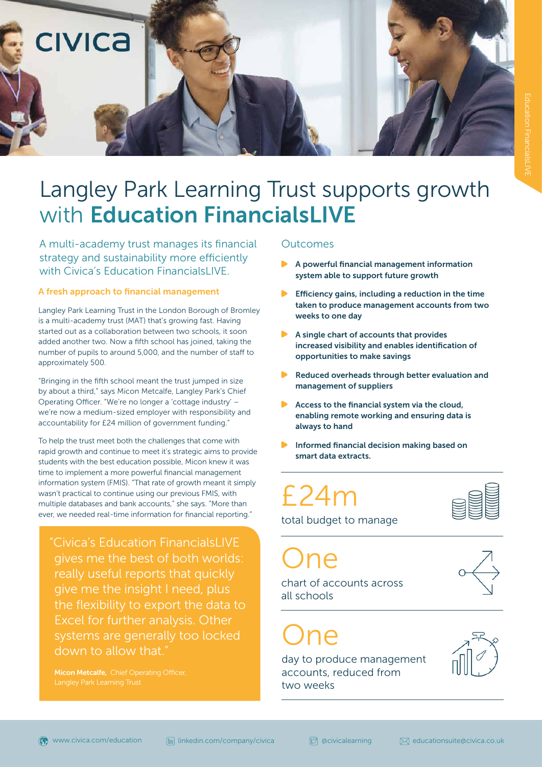

## Langley Park Learning Trust supports growth with Education FinancialsLIVE

A multi-academy trust manages its financial strategy and sustainability more efficiently strategy and sustainability more emerently<br>with Civica's Education FinancialsLIVE.

### A fresh approach to financial management

Langley Park Learning Trust in the London Borough of Bromley is a multi-academy trust (MAT) that's growing fast. Having started out as a collaboration between two schools, it soon added another two. Now a fifth school has joined, taking the number of pupils to around 5,000, and the number of staff to approximately 500.

"Bringing in the fifth school meant the trust jumped in size by about a third," says Micon Metcalfe, Langley Park's Chief Operating Officer. "We're no longer a 'cottage industry' – we're now a medium-sized employer with responsibility and accountability for £24 million of government funding."

To help the trust meet both the challenges that come with rapid growth and continue to meet it's strategic aims to provide students with the best education possible, Micon knew it was time to implement a more powerful financial management information system (FMIS). "That rate of growth meant it simply wasn't practical to continue using our previous FMIS, with multiple databases and bank accounts," she says. "More than ever, we needed real-time information for financial reporting."

"Civica's Education FinancialsLIVE gives me the best of both worlds: really useful reports that quickly give me the insight I need, plus the flexibility to export the data to Excel for further analysis. Other systems are generally too locked down to allow that."

#### **Outcomes**

- system able to support future growth
- Efficiency gains, including a reduction in the time taken to produce management accounts from two weeks to one day
- A single chart of accounts that provides increased visibility and enables identification of opportunities to make savings
- Reduced overheads through better evaluation and management of suppliers
- Access to the financial system via the cloud, enabling remote working and ensuring data is always to hand
- Informed financial decision making based on smart data extracts.

# £24m



total budget to manage

One chart of accounts across

 $n \infty$ 

all schools

day to produce management accounts, reduced from two weeks